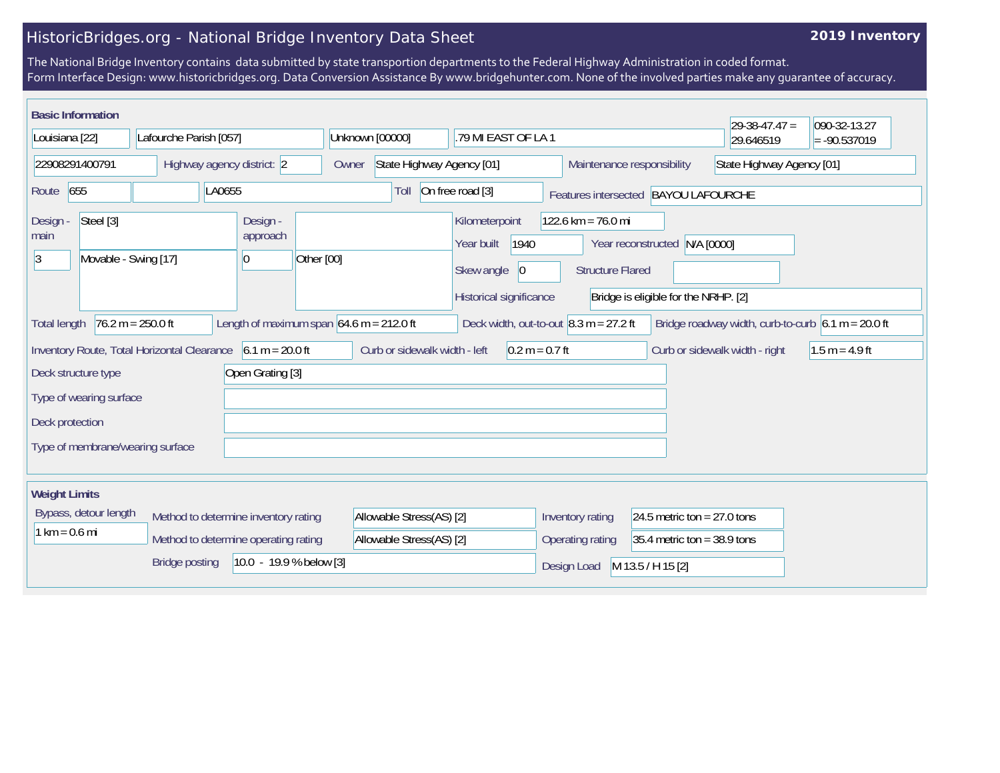## HistoricBridges.org - National Bridge Inventory Data Sheet

## **2019 Inventory**

The National Bridge Inventory contains data submitted by state transportion departments to the Federal Highway Administration in coded format. Form Interface Design: www.historicbridges.org. Data Conversion Assistance By www.bridgehunter.com. None of the involved parties make any guarantee of accuracy.

| <b>Basic Information</b>                                                                                                                                                                                           |  |                                          |                                    |                                                                                              |                                                   |                                                                       | $29-38-47.47 =$ | 090-32-13.27 |  |
|--------------------------------------------------------------------------------------------------------------------------------------------------------------------------------------------------------------------|--|------------------------------------------|------------------------------------|----------------------------------------------------------------------------------------------|---------------------------------------------------|-----------------------------------------------------------------------|-----------------|--------------|--|
| Lafourche Parish [057]<br>Louisiana [22]                                                                                                                                                                           |  | Unknown [00000]<br>.79 MI EAST OF LA 1   |                                    |                                                                                              |                                                   | 29.646519                                                             | $= -90.537019$  |              |  |
| 22908291400791<br>Highway agency district: 2                                                                                                                                                                       |  |                                          | State Highway Agency [01]<br>Owner |                                                                                              |                                                   | Maintenance responsibility<br>State Highway Agency [01]               |                 |              |  |
| 655<br>LA0655<br>Route                                                                                                                                                                                             |  |                                          | Toll                               | On free road [3]<br>Features intersected BAYOU LAFOURCHE                                     |                                                   |                                                                       |                 |              |  |
| Steel [3]<br>Design -<br>main<br>Movable - Swing [17]<br>3                                                                                                                                                         |  | Design -<br>approach<br>Other [00]<br>10 |                                    | Kilometerpoint<br>1940<br>Year built<br>Skew angle<br>$ 0\rangle$<br>Historical significance | $122.6$ km = 76.0 mi<br><b>Structure Flared</b>   | Year reconstructed N/A [0000]<br>Bridge is eligible for the NRHP. [2] |                 |              |  |
| Deck width, out-to-out $\vert 8.3 \text{ m} = 27.2 \text{ ft}$<br>Length of maximum span $64.6$ m = 212.0 ft<br>Bridge roadway width, curb-to-curb $6.1 m = 20.0 ft$<br>$76.2 m = 250.0 ft$<br><b>Total length</b> |  |                                          |                                    |                                                                                              |                                                   |                                                                       |                 |              |  |
| Curb or sidewalk width - left<br>$0.2 m = 0.7 ft$<br>Inventory Route, Total Horizontal Clearance<br>$6.1 m = 20.0 ft$<br>Curb or sidewalk width - right<br>$1.5 m = 4.9 ft$                                        |  |                                          |                                    |                                                                                              |                                                   |                                                                       |                 |              |  |
| Open Grating [3]<br>Deck structure type                                                                                                                                                                            |  |                                          |                                    |                                                                                              |                                                   |                                                                       |                 |              |  |
| Type of wearing surface                                                                                                                                                                                            |  |                                          |                                    |                                                                                              |                                                   |                                                                       |                 |              |  |
| Deck protection                                                                                                                                                                                                    |  |                                          |                                    |                                                                                              |                                                   |                                                                       |                 |              |  |
| Type of membrane/wearing surface                                                                                                                                                                                   |  |                                          |                                    |                                                                                              |                                                   |                                                                       |                 |              |  |
| <b>Weight Limits</b>                                                                                                                                                                                               |  |                                          |                                    |                                                                                              |                                                   |                                                                       |                 |              |  |
| Bypass, detour length<br>Method to determine inventory rating                                                                                                                                                      |  |                                          | Allowable Stress(AS) [2]           |                                                                                              | Inventory rating                                  | 24.5 metric ton = $27.0$ tons                                         |                 |              |  |
| $1 km = 0.6 mi$<br>Method to determine operating rating                                                                                                                                                            |  |                                          | Allowable Stress(AS) [2]           |                                                                                              | Operating rating<br>$35.4$ metric ton = 38.9 tons |                                                                       |                 |              |  |
| $10.0 - 19.9 %$ below [3]<br><b>Bridge posting</b>                                                                                                                                                                 |  |                                          |                                    |                                                                                              | Design Load                                       | M 13.5 / H 15 [2]                                                     |                 |              |  |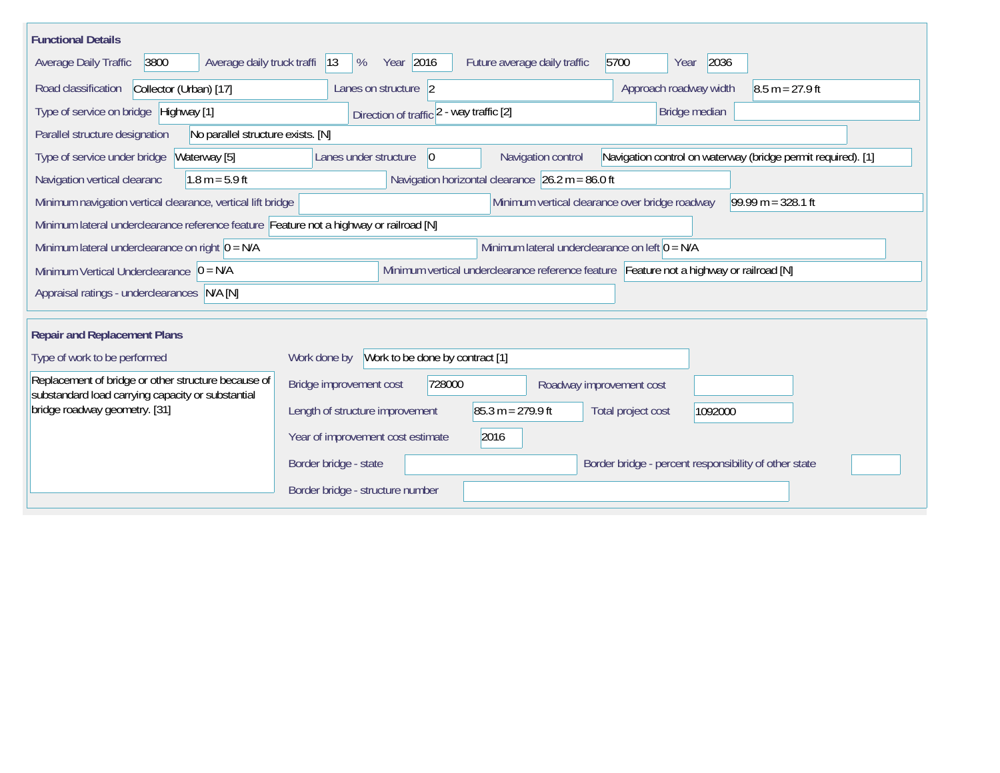| <b>Functional Details</b>                                                                                                              |                                                                                                                            |  |  |  |  |  |  |  |  |
|----------------------------------------------------------------------------------------------------------------------------------------|----------------------------------------------------------------------------------------------------------------------------|--|--|--|--|--|--|--|--|
| 3800<br>Average daily truck traffi<br><b>Average Daily Traffic</b>                                                                     | Year 2016<br>5700<br>2036<br> 13<br>%<br>Future average daily traffic<br>Year                                              |  |  |  |  |  |  |  |  |
| Collector (Urban) [17]<br>Road classification                                                                                          | $8.5 m = 27.9 ft$<br>Lanes on structure 2<br>Approach roadway width                                                        |  |  |  |  |  |  |  |  |
| Type of service on bridge Highway [1]                                                                                                  | Bridge median<br>Direction of traffic 2 - way traffic [2]                                                                  |  |  |  |  |  |  |  |  |
| No parallel structure exists. [N]<br>Parallel structure designation                                                                    |                                                                                                                            |  |  |  |  |  |  |  |  |
| Type of service under bridge<br>Waterway [5]                                                                                           | Navigation control<br>Navigation control on waterway (bridge permit required). [1]<br>Lanes under structure<br>$ 0\rangle$ |  |  |  |  |  |  |  |  |
| Navigation horizontal clearance $26.2 m = 86.0 ft$<br>Navigation vertical clearanc<br>$1.8 m = 5.9 ft$                                 |                                                                                                                            |  |  |  |  |  |  |  |  |
| $99.99 m = 328.1 ft$<br>Minimum vertical clearance over bridge roadway<br>Minimum navigation vertical clearance, vertical lift bridge  |                                                                                                                            |  |  |  |  |  |  |  |  |
| Minimum lateral underclearance reference feature Feature not a highway or railroad [N]                                                 |                                                                                                                            |  |  |  |  |  |  |  |  |
| Minimum lateral underclearance on left $0 = N/A$<br>Minimum lateral underclearance on right $O = N/A$                                  |                                                                                                                            |  |  |  |  |  |  |  |  |
| Minimum vertical underclearance reference feature Feature not a highway or railroad [N]<br>Minimum Vertical Underclearance $ 0 = N/A $ |                                                                                                                            |  |  |  |  |  |  |  |  |
| Appraisal ratings - underclearances N/A [N]                                                                                            |                                                                                                                            |  |  |  |  |  |  |  |  |
|                                                                                                                                        |                                                                                                                            |  |  |  |  |  |  |  |  |
| <b>Repair and Replacement Plans</b>                                                                                                    |                                                                                                                            |  |  |  |  |  |  |  |  |
| Type of work to be performed                                                                                                           | Work to be done by contract [1]<br>Work done by                                                                            |  |  |  |  |  |  |  |  |
| Replacement of bridge or other structure because of<br>substandard load carrying capacity or substantial                               | Bridge improvement cost<br>728000<br>Roadway improvement cost                                                              |  |  |  |  |  |  |  |  |
| bridge roadway geometry. [31]                                                                                                          | $85.3 m = 279.9 ft$<br>Length of structure improvement<br>Total project cost<br>1092000                                    |  |  |  |  |  |  |  |  |
|                                                                                                                                        | 2016<br>Year of improvement cost estimate                                                                                  |  |  |  |  |  |  |  |  |
|                                                                                                                                        | Border bridge - state<br>Border bridge - percent responsibility of other state                                             |  |  |  |  |  |  |  |  |
|                                                                                                                                        | Border bridge - structure number                                                                                           |  |  |  |  |  |  |  |  |